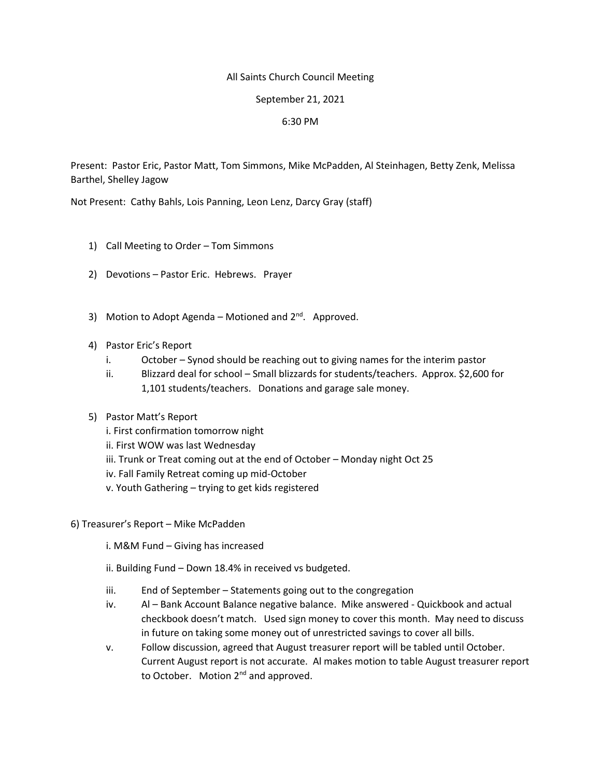## All Saints Church Council Meeting

## September 21, 2021

## 6:30 PM

Present: Pastor Eric, Pastor Matt, Tom Simmons, Mike McPadden, Al Steinhagen, Betty Zenk, Melissa Barthel, Shelley Jagow

Not Present: Cathy Bahls, Lois Panning, Leon Lenz, Darcy Gray (staff)

- 1) Call Meeting to Order Tom Simmons
- 2) Devotions Pastor Eric. Hebrews. Prayer
- 3) Motion to Adopt Agenda Motioned and  $2^{nd}$ . Approved.
- 4) Pastor Eric's Report
	- i. October Synod should be reaching out to giving names for the interim pastor
	- ii. Blizzard deal for school Small blizzards for students/teachers. Approx. \$2,600 for 1,101 students/teachers. Donations and garage sale money.

# 5) Pastor Matt's Report

- i. First confirmation tomorrow night
- ii. First WOW was last Wednesday
- iii. Trunk or Treat coming out at the end of October Monday night Oct 25
- iv. Fall Family Retreat coming up mid-October
- v. Youth Gathering trying to get kids registered
- 6) Treasurer's Report Mike McPadden
	- i. M&M Fund Giving has increased
	- ii. Building Fund Down 18.4% in received vs budgeted.
	- iii. End of September Statements going out to the congregation
	- iv. Al Bank Account Balance negative balance. Mike answered Quickbook and actual checkbook doesn't match. Used sign money to cover this month. May need to discuss in future on taking some money out of unrestricted savings to cover all bills.
	- v. Follow discussion, agreed that August treasurer report will be tabled until October. Current August report is not accurate. Al makes motion to table August treasurer report to October. Motion 2<sup>nd</sup> and approved.